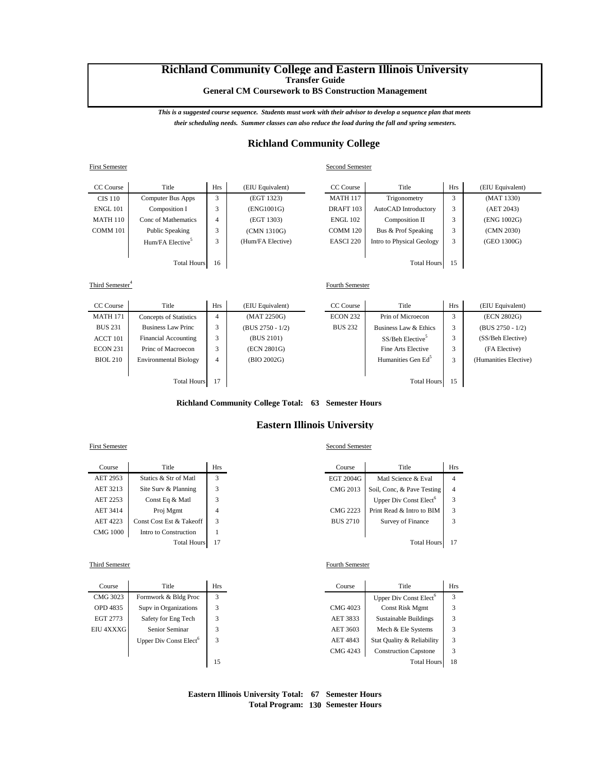# **Richland Community College and Eastern Illinois University Transfer Guide**

**General CM Coursework to BS Construction Management**

*This is a suggested course sequence. Students must work with their advisor to develop a sequence plan that meets their scheduling needs. Summer classes can also reduce the load during the fall and spring semesters.*

# **Richland Community College**

### First Semester Second Semester

| CC Course          | Title                        | <b>Hrs</b>  | (EIU Equivalent)  | CC Course            | Title                     | <b>Hrs</b> | (EIU Equivalent) |
|--------------------|------------------------------|-------------|-------------------|----------------------|---------------------------|------------|------------------|
| <b>CIS 110</b>     | Computer Bus Apps            | 3           | (EGT 1323)        | <b>MATH 117</b>      | Trigonometry              | 3          | (MAT 1330)       |
| <b>ENGL 101</b>    | Composition I                | 3           | (ENG1001G)        | DRAFT <sub>103</sub> | AutoCAD Introductory      | 3          | (AET 2043)       |
| <b>MATH 110</b>    | Conc of Mathematics          | 4           | (EGT 1303)        | <b>ENGL 102</b>      | Composition II            | 3          | (ENG 1002G)      |
| COMM 101           | Public Speaking              | 3           | (CMN 1310G)       | COMM 120             | Bus & Prof Speaking       | 3          | (CMN 2030)       |
|                    | Hum/FA Elective <sup>5</sup> | $\sim$<br>Ć | (Hum/FA Elective) | EASCI <sub>220</sub> | Intro to Physical Geology | 3          | (GEO 1300G)      |
|                    |                              |             |                   |                      |                           |            |                  |
| <b>Total Hours</b> |                              | 16          |                   |                      | <b>Total Hours</b>        | 15         |                  |

### Third Semester<sup>4</sup>

| CC Course          | Title                        | <b>Hrs</b> | (EIU Equivalent)   | CC Course       | Title                          | <b>Hrs</b> | (EIU Equivalent)      |
|--------------------|------------------------------|------------|--------------------|-----------------|--------------------------------|------------|-----------------------|
| <b>MATH 171</b>    | Concepts of Statistics       | 4          | (MAT 2250G)        | <b>ECON 232</b> | Prin of Microecon              | 3          | (ECN 2802G)           |
| <b>BUS 231</b>     | Business Law Princ           | 3          | $(BUS 2750 - 1/2)$ | <b>BUS 232</b>  | Business Law & Ethics          | 3          | $(BUS 2750 - 1/2)$    |
| ACCT 101           | <b>Financial Accounting</b>  |            | (BUS 2101)         |                 | SS/Beh Elective <sup>5</sup>   | 3          | (SS/Beh Elective)     |
| <b>ECON 231</b>    | Princ of Macroecon           |            | (ECN 2801G)        |                 | Fine Arts Elective             | 3          | (FA Elective)         |
| <b>BIOL 210</b>    | <b>Environmental Biology</b> | 4          | (BIO 2002G)        |                 | Humanities Gen Ed <sup>5</sup> | 3          | (Humanities Elective) |
|                    |                              |            |                    |                 |                                |            |                       |
| <b>Total Hours</b> |                              | 17         |                    |                 | <b>Total Hours</b>             | 15         |                       |

### **Richland Community College Total: 63 Semester Hours**

# **Eastern Illinois University**

| Course          | Title                    | Hrs | Course          | Title                              | Hı             |
|-----------------|--------------------------|-----|-----------------|------------------------------------|----------------|
| AET 2953        | Statics & Str of Matl    |     | EGT 2004G       | Matl Science & Eval                | 4              |
| AET 3213        | Site Surv & Planning     | 3   | CMG 2013        | Soil, Conc. & Pave Testing         | $\overline{4}$ |
| AET 2253        | Const Eq & Matl          | 3   |                 | Upper Div Const Elect <sup>o</sup> | 3              |
| AET 3414        | Proj Mgmt                | 4   | <b>CMG 2223</b> | Print Read & Intro to BIM          | 3              |
| AET 4223        | Const Cost Est & Takeoff | 3   | <b>BUS 2710</b> | Survey of Finance                  | 3              |
| <b>CMG</b> 1000 | Intro to Construction    |     |                 |                                    |                |
|                 | <b>Total Hours</b>       |     |                 | <b>Total Hours</b>                 | $1^{\prime}$   |

#### Third Semester Fourth Semester

| Course    | Title                              | <b>Hrs</b> | Course          | Title                              | Hı |
|-----------|------------------------------------|------------|-----------------|------------------------------------|----|
| CMG 3023  | Formwork & Bldg Proc               | 3          |                 | Upper Div Const Elect <sup>6</sup> | 3  |
| OPD 4835  | Supv in Organizations              | 3          | CMG 4023        | <b>Const Risk Mgmt</b>             | 3  |
| EGT 2773  | Safety for Eng Tech                | 3          | AET 3833        | Sustainable Buildings              | 3  |
| EIU 4XXXG | Senior Seminar                     | 3          | AET 3603        | Mech & Ele Systems                 | 3  |
|           | Upper Div Const Elect <sup>6</sup> | 3          | <b>AET 4843</b> | Stat Quality & Reliability         | 3  |
|           |                                    |            | CMG 4243        | <b>Construction Capstone</b>       | 3  |
|           |                                    | 15         |                 | <b>Total Hours</b>                 | 18 |

# First Semester Second Semester

Fourth Semester

| Course  | Title                    | Hrs | Course          | Title                              | <b>Hrs</b>     |
|---------|--------------------------|-----|-----------------|------------------------------------|----------------|
| ET 2953 | Statics & Str of Matl    |     | EGT 2004G       | Matl Science & Eval                | 4              |
| ET 3213 | Site Surv & Planning     |     | CMG 2013        | Soil, Conc. & Pave Testing         | $\overline{4}$ |
| ET 2253 | Const Eq & Matl          |     |                 | Upper Div Const Elect <sup>6</sup> | 3              |
| ET 3414 | Proj Mgmt                |     | <b>CMG 2223</b> | Print Read & Intro to BIM          | 3              |
| ET 4223 | Const Cost Est & Takeoff |     | <b>BUS 2710</b> | Survey of Finance                  |                |
| MG 1000 | Intro to Construction    |     |                 |                                    |                |
|         | <b>Total Hours</b>       | 17  |                 | <b>Total Hours</b>                 | 17             |

| Course           | Title                              | <b>Hrs</b> | Course   | Title                              |    |
|------------------|------------------------------------|------------|----------|------------------------------------|----|
| CMG 3023         | Formwork & Bldg Proc               | 3          |          | Upper Div Const Elect <sup>o</sup> | 3  |
| OPD 4835         | Supv in Organizations              |            | CMG 4023 | <b>Const Risk Mgmt</b>             |    |
| EGT 2773         | Safety for Eng Tech                |            | AET 3833 | Sustainable Buildings              |    |
| <b>EIU 4XXXG</b> | Senior Seminar                     |            | AET 3603 | Mech & Ele Systems                 |    |
|                  | Upper Div Const Elect <sup>6</sup> |            | AET 4843 | Stat Quality & Reliability         |    |
|                  |                                    |            | CMG 4243 | <b>Construction Capstone</b>       |    |
|                  |                                    | 15         |          | <b>Total Hours</b>                 | 18 |

# **Eastern Illinois University Total: 67 Semester Hours Total Program: 130 Semester Hours**